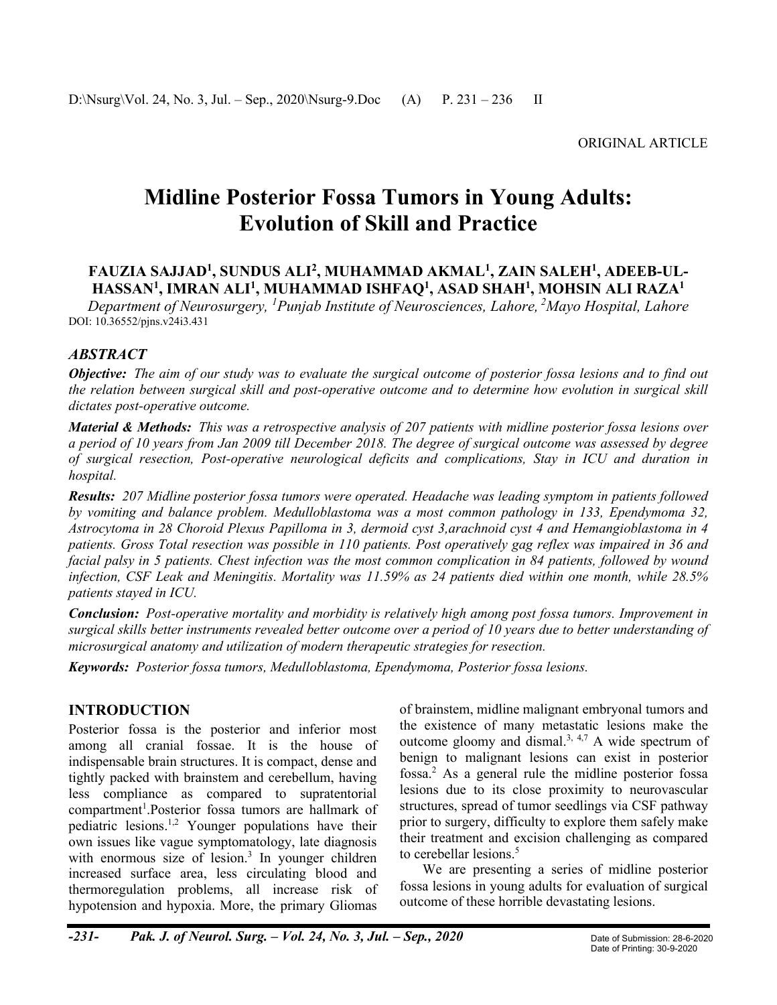# **Midline Posterior Fossa Tumors in Young Adults: Evolution of Skill and Practice**

# **FAUZIA SAJJAD<sup>1</sup> , SUNDUS ALI<sup>2</sup> , MUHAMMAD AKMAL<sup>1</sup> , ZAIN SALEH<sup>1</sup> , ADEEB-UL-HASSAN<sup>1</sup> , IMRAN ALI<sup>1</sup> , MUHAMMAD ISHFAQ<sup>1</sup> , ASAD SHAH<sup>1</sup> , MOHSIN ALI RAZA<sup>1</sup>**

*Department of Neurosurgery, <sup>1</sup>Punjab Institute of Neurosciences, Lahore, <sup>2</sup>Mayo Hospital, Lahore* DOI: 10.36552/pjns.v24i3.431

# *ABSTRACT*

*Objective: The aim of our study was to evaluate the surgical outcome of posterior fossa lesions and to find out the relation between surgical skill and post-operative outcome and to determine how evolution in surgical skill dictates post-operative outcome.*

*Material & Methods: This was a retrospective analysis of 207 patients with midline posterior fossa lesions over a period of 10 years from Jan 2009 till December 2018. The degree of surgical outcome was assessed by degree of surgical resection, Post-operative neurological deficits and complications, Stay in ICU and duration in hospital.*

*Results: 207 Midline posterior fossa tumors were operated. Headache was leading symptom in patients followed by vomiting and balance problem. Medulloblastoma was a most common pathology in 133, Ependymoma 32, Astrocytoma in 28 Choroid Plexus Papilloma in 3, dermoid cyst 3,arachnoid cyst 4 and Hemangioblastoma in 4 patients. Gross Total resection was possible in 110 patients. Post operatively gag reflex was impaired in 36 and facial palsy in 5 patients. Chest infection was the most common complication in 84 patients, followed by wound infection, CSF Leak and Meningitis. Mortality was 11.59% as 24 patients died within one month, while 28.5% patients stayed in ICU.*

*Conclusion: Post-operative mortality and morbidity is relatively high among post fossa tumors. Improvement in surgical skills better instruments revealed better outcome over a period of 10 years due to better understanding of microsurgical anatomy and utilization of modern therapeutic strategies for resection.*

*Keywords: Posterior fossa tumors, Medulloblastoma, Ependymoma, Posterior fossa lesions.*

# **INTRODUCTION**

Posterior fossa is the posterior and inferior most among all cranial fossae. It is the house of indispensable brain structures. It is compact, dense and tightly packed with brainstem and cerebellum, having less compliance as compared to supratentorial compartment<sup>1</sup>.Posterior fossa tumors are hallmark of pediatric lesions. 1,2 Younger populations have their own issues like vague symptomatology, late diagnosis with enormous size of lesion.<sup>3</sup> In younger children increased surface area, less circulating blood and thermoregulation problems, all increase risk of hypotension and hypoxia. More, the primary Gliomas of brainstem, midline malignant embryonal tumors and the existence of many metastatic lesions make the outcome gloomy and dismal.<sup>3, 4,7</sup> A wide spectrum of benign to malignant lesions can exist in posterior fossa. <sup>2</sup> As a general rule the midline posterior fossa lesions due to its close proximity to neurovascular structures, spread of tumor seedlings via CSF pathway prior to surgery, difficulty to explore them safely make their treatment and excision challenging as compared to cerebellar lesions. 5

We are presenting a series of midline posterior fossa lesions in young adults for evaluation of surgical outcome of these horrible devastating lesions.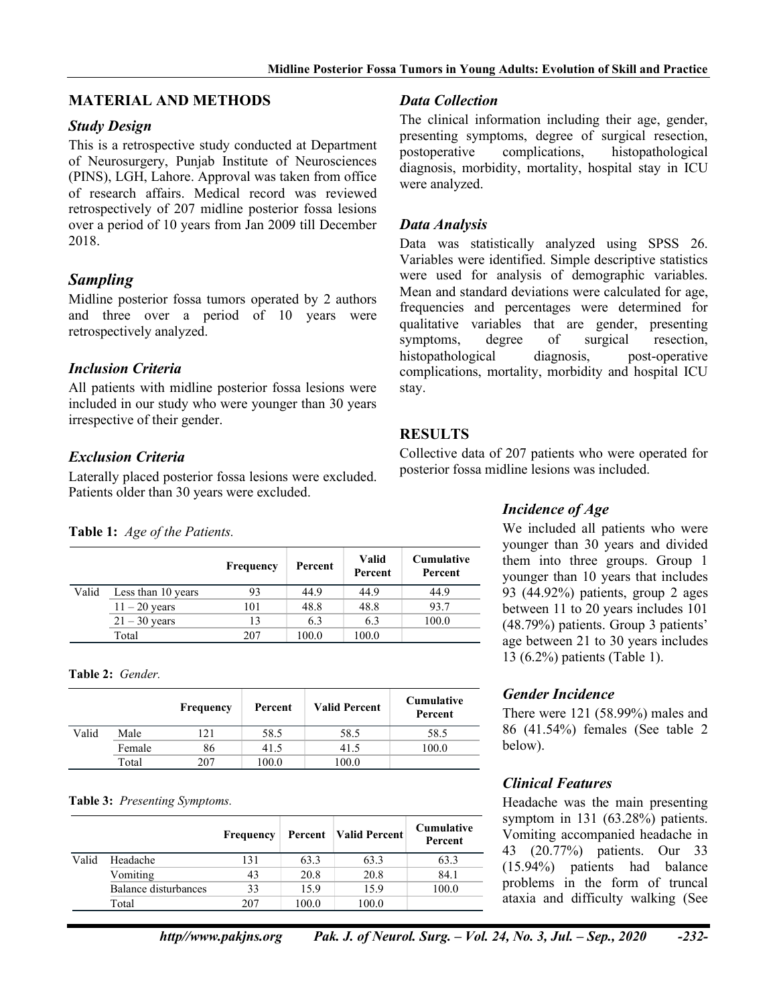## **MATERIAL AND METHODS**

## *Study Design*

This is a retrospective study conducted at Department of Neurosurgery, Punjab Institute of Neurosciences (PINS), LGH, Lahore. Approval was taken from office of research affairs. Medical record was reviewed retrospectively of 207 midline posterior fossa lesions over a period of 10 years from Jan 2009 till December 2018.

# *Sampling*

Midline posterior fossa tumors operated by 2 authors and three over a period of 10 years were retrospectively analyzed.

# *Inclusion Criteria*

All patients with midline posterior fossa lesions were included in our study who were younger than 30 years irrespective of their gender.

# *Exclusion Criteria*

Laterally placed posterior fossa lesions were excluded. Patients older than 30 years were excluded.

#### **Table 1:** *Age of the Patients.*

|       |                    | Frequency | Percent | <b>Valid</b><br>Percent | <b>Cumulative</b><br>Percent |
|-------|--------------------|-----------|---------|-------------------------|------------------------------|
| Valid | Less than 10 years | 93        | 44.9    | 44.9                    | 44.9                         |
|       | $11 - 20$ years    | 101       | 48.8    | 48.8                    | 93.7                         |
|       | $21 - 30$ years    | 13        | 6.3     | 6.3                     | 100.0                        |
|       | Total              | 207       | 100.0   | 100.0                   |                              |

**Table 2:** *Gender.*

|       |        | Frequency | Percent | <b>Valid Percent</b> | <b>Cumulative</b><br>Percent |
|-------|--------|-----------|---------|----------------------|------------------------------|
| Valid | Male   | 12.1      | 58.5    | 58.5                 | 58.5                         |
|       | Female | 86        | 41.5    | 41.5                 | 100.0                        |
|       | Total  | 207       | 100.0   | 100.0                |                              |

#### **Table 3:** *Presenting Symptoms.*

|       |                      | Frequency |       | <b>Percent</b> Valid Percent | <b>Cumulative</b><br>Percent |
|-------|----------------------|-----------|-------|------------------------------|------------------------------|
| Valid | Headache             | 131       | 63.3  | 63.3                         | 63.3                         |
|       | Vomiting             | 43        | 20.8  | 20.8                         | 84.1                         |
|       | Balance disturbances | 33        | 15.9  | 15.9                         | 100.0                        |
|       | Total                | 207       | 100.0 | 100.0                        |                              |

## *Data Collection*

The clinical information including their age, gender, presenting symptoms, degree of surgical resection, postoperative complications, histopathological diagnosis, morbidity, mortality, hospital stay in ICU were analyzed.

### *Data Analysis*

Data was statistically analyzed using SPSS 26. Variables were identified. Simple descriptive statistics were used for analysis of demographic variables. Mean and standard deviations were calculated for age, frequencies and percentages were determined for qualitative variables that are gender, presenting symptoms, degree of surgical resection, histopathological diagnosis, post-operative complications, mortality, morbidity and hospital ICU stay.

# **RESULTS**

Collective data of 207 patients who were operated for posterior fossa midline lesions was included.

## *Incidence of Age*

We included all patients who were younger than 30 years and divided them into three groups. Group 1 younger than 10 years that includes 93 (44.92%) patients, group 2 ages between 11 to 20 years includes 101 (48.79%) patients. Group 3 patients' age between 21 to 30 years includes 13 (6.2%) patients (Table 1).

## *Gender Incidence*

There were 121 (58.99%) males and 86 (41.54%) females (See table 2 below).

## *Clinical Features*

Headache was the main presenting symptom in 131 (63.28%) patients. Vomiting accompanied headache in 43 (20.77%) patients. Our 33 (15.94%) patients had balance problems in the form of truncal ataxia and difficulty walking (See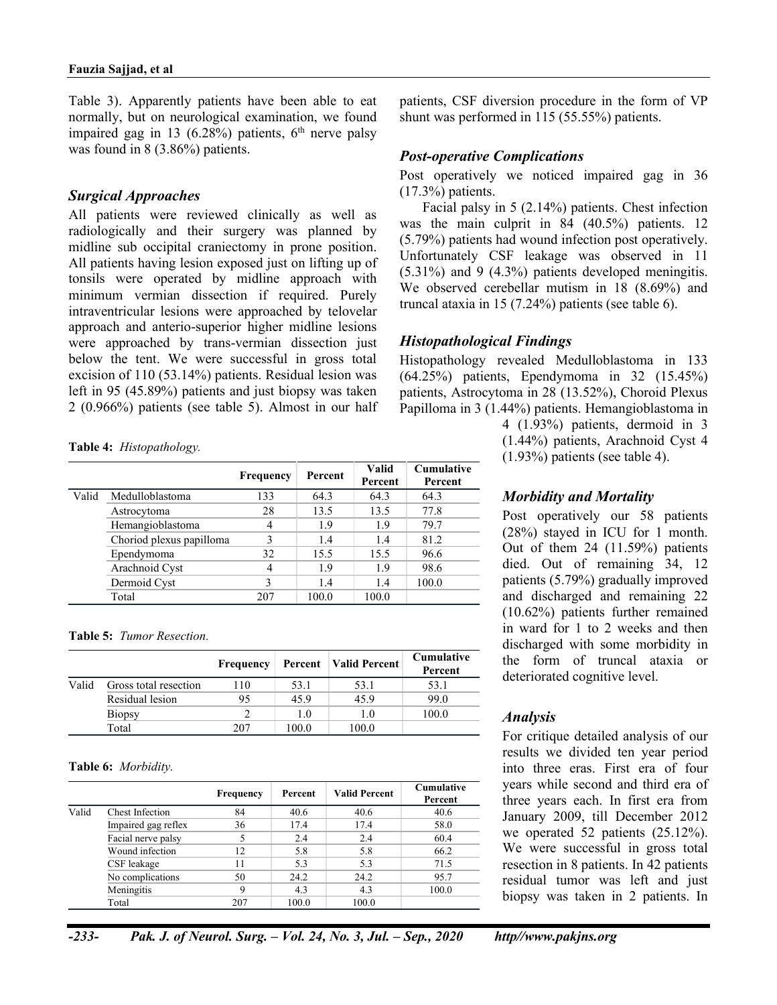Table 3). Apparently patients have been able to eat normally, but on neurological examination, we found impaired gag in 13 (6.28%) patients,  $6<sup>th</sup>$  nerve palsy was found in 8 (3.86%) patients.

#### *Surgical Approaches*

All patients were reviewed clinically as well as radiologically and their surgery was planned by midline sub occipital craniectomy in prone position. All patients having lesion exposed just on lifting up of tonsils were operated by midline approach with minimum vermian dissection if required. Purely intraventricular lesions were approached by telovelar approach and anterio-superior higher midline lesions were approached by trans-vermian dissection just below the tent. We were successful in gross total excision of 110 (53.14%) patients. Residual lesion was left in 95 (45.89%) patients and just biopsy was taken 2 (0.966%) patients (see table 5). Almost in our half

#### **Table 4:** *Histopathology.*

|       |                          | Frequency | Percent | Valid<br>Percent | <b>Cumulative</b><br>Percent |
|-------|--------------------------|-----------|---------|------------------|------------------------------|
| Valid | Medulloblastoma          | 133       | 64.3    | 64.3             | 64.3                         |
|       | Astrocytoma              | 28        | 13.5    | 13.5             | 77.8                         |
|       | Hemangioblastoma         | 4         | 1.9     | 1.9              | 79.7                         |
|       | Choriod plexus papilloma | 3         | 1.4     | 1.4              | 81.2                         |
|       | Ependymoma               | 32        | 15.5    | 15.5             | 96.6                         |
|       | Arachnoid Cyst           | 4         | 1.9     | 1.9              | 98.6                         |
|       | Dermoid Cyst             | 3         | 1.4     | 1.4              | 100.0                        |
|       | Total                    | 207       | 100.0   | 100.0            |                              |

#### **Table 5:** *Tumor Resection.*

|       |                       | <b>Frequency</b> |       | <b>Percent</b>   Valid Percent | <b>Cumulative</b><br>Percent |
|-------|-----------------------|------------------|-------|--------------------------------|------------------------------|
| Valid | Gross total resection | 10               | 53.1  | 53.1                           | 53.1                         |
|       | Residual lesion       | 95               | 45.9  | 45.9                           | 99.0                         |
|       | <b>Biopsy</b>         |                  | 1.0   | 1.0                            | 100.0                        |
|       | Total                 | 207              | 100.0 | 100.0                          |                              |

#### **Table 6:** *Morbidity.*

|       |                        | <b>Frequency</b> | Percent | <b>Valid Percent</b> | Cumulative<br>Percent |
|-------|------------------------|------------------|---------|----------------------|-----------------------|
| Valid | <b>Chest Infection</b> | 84               | 40.6    | 40.6                 | 40.6                  |
|       | Impaired gag reflex    | 36               | 17.4    | 17.4                 | 58.0                  |
|       | Facial nerve palsy     |                  | 2.4     | 2.4                  | 60.4                  |
|       | Wound infection        | 12               | 5.8     | 5.8                  | 66.2                  |
|       | CSF leakage            | 11               | 5.3     | 5.3                  | 71.5                  |
|       | No complications       | 50               | 24.2    | 24.2                 | 95.7                  |
|       | Meningitis             | 9                | 4.3     | 4.3                  | 100.0                 |
|       | Total                  | 207              | 100.0   | 100.0                |                       |

patients, CSF diversion procedure in the form of VP shunt was performed in 115 (55.55%) patients.

#### *Post-operative Complications*

Post operatively we noticed impaired gag in 36 (17.3%) patients.

Facial palsy in 5 (2.14%) patients. Chest infection was the main culprit in 84 (40.5%) patients. 12 (5.79%) patients had wound infection post operatively. Unfortunately CSF leakage was observed in 11  $(5.31\%)$  and 9  $(4.3\%)$  patients developed meningitis. We observed cerebellar mutism in 18 (8.69%) and truncal ataxia in 15 (7.24%) patients (see table 6).

#### *Histopathological Findings*

Histopathology revealed Medulloblastoma in 133 (64.25%) patients, Ependymoma in 32 (15.45%) patients, Astrocytoma in 28 (13.52%), Choroid Plexus Papilloma in 3 (1.44%) patients. Hemangioblastoma in

> 4 (1.93%) patients, dermoid in 3 (1.44%) patients, Arachnoid Cyst 4 (1.93%) patients (see table 4).

## *Morbidity and Mortality*

Post operatively our 58 patients (28%) stayed in ICU for 1 month. Out of them 24 (11.59%) patients died. Out of remaining 34, 12 patients (5.79%) gradually improved and discharged and remaining 22 (10.62%) patients further remained in ward for 1 to 2 weeks and then discharged with some morbidity in the form of truncal ataxia or deteriorated cognitive level.

#### *Analysis*

For critique detailed analysis of our results we divided ten year period into three eras. First era of four years while second and third era of three years each. In first era from January 2009, till December 2012 we operated 52 patients (25.12%). We were successful in gross total resection in 8 patients. In 42 patients residual tumor was left and just biopsy was taken in 2 patients. In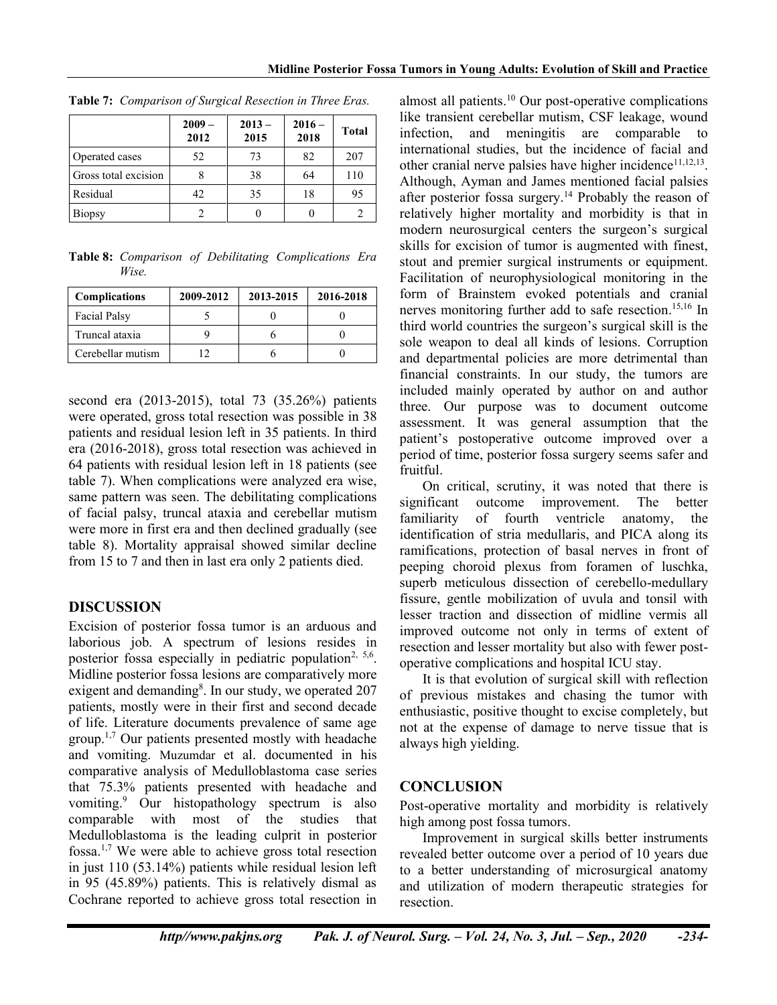|                      | $2009 -$<br>2012 | $2013 -$<br>2015 | $2016 -$<br>2018 | <b>Total</b> |
|----------------------|------------------|------------------|------------------|--------------|
| Operated cases       | 52               | 73               | 82               | 207          |
| Gross total excision |                  | 38               | 64               | 110          |
| Residual             | 42               | 35               | 18               | 95           |
| Biopsy               |                  |                  |                  |              |

**Table 7:** *Comparison of Surgical Resection in Three Eras.*

**Table 8:** *Comparison of Debilitating Complications Era Wise.*

| <b>Complications</b> | 2009-2012 | 2013-2015 | 2016-2018 |
|----------------------|-----------|-----------|-----------|
| <b>Facial Palsy</b>  |           |           |           |
| Truncal ataxia       |           |           |           |
| Cerebellar mutism    |           |           |           |

second era (2013-2015), total 73 (35.26%) patients were operated, gross total resection was possible in 38 patients and residual lesion left in 35 patients. In third era (2016-2018), gross total resection was achieved in 64 patients with residual lesion left in 18 patients (see table 7). When complications were analyzed era wise, same pattern was seen. The debilitating complications of facial palsy, truncal ataxia and cerebellar mutism were more in first era and then declined gradually (see table 8). Mortality appraisal showed similar decline from 15 to 7 and then in last era only 2 patients died.

# **DISCUSSION**

Excision of posterior fossa tumor is an arduous and laborious job. A spectrum of lesions resides in posterior fossa especially in pediatric population<sup>2, 5,6</sup>. Midline posterior fossa lesions are comparatively more exigent and demanding<sup>8</sup>. In our study, we operated 207 patients, mostly were in their first and second decade of life. Literature documents prevalence of same age group. 1,7 Our patients presented mostly with headache and vomiting. Muzumdar et al. documented in his comparative analysis of Medulloblastoma case series that 75.3% patients presented with headache and vomiting. <sup>9</sup> Our histopathology spectrum is also comparable with most of the studies that Medulloblastoma is the leading culprit in posterior fossa. 1,7 We were able to achieve gross total resection in just 110 (53.14%) patients while residual lesion left in 95 (45.89%) patients. This is relatively dismal as Cochrane reported to achieve gross total resection in

almost all patients. <sup>10</sup> Our post-operative complications like transient cerebellar mutism, CSF leakage, wound infection, and meningitis are comparable to international studies, but the incidence of facial and other cranial nerve palsies have higher incidence<sup>11,12,13</sup>. Although, Ayman and James mentioned facial palsies after posterior fossa surgery.<sup>14</sup> Probably the reason of relatively higher mortality and morbidity is that in modern neurosurgical centers the surgeon's surgical skills for excision of tumor is augmented with finest, stout and premier surgical instruments or equipment. Facilitation of neurophysiological monitoring in the form of Brainstem evoked potentials and cranial nerves monitoring further add to safe resection. 15,16 In third world countries the surgeon's surgical skill is the sole weapon to deal all kinds of lesions. Corruption and departmental policies are more detrimental than financial constraints. In our study, the tumors are included mainly operated by author on and author three. Our purpose was to document outcome assessment. It was general assumption that the patient's postoperative outcome improved over a period of time, posterior fossa surgery seems safer and fruitful.

On critical, scrutiny, it was noted that there is significant outcome improvement. The better familiarity of fourth ventricle anatomy, the identification of stria medullaris, and PICA along its ramifications, protection of basal nerves in front of peeping choroid plexus from foramen of luschka, superb meticulous dissection of cerebello-medullary fissure, gentle mobilization of uvula and tonsil with lesser traction and dissection of midline vermis all improved outcome not only in terms of extent of resection and lesser mortality but also with fewer postoperative complications and hospital ICU stay.

It is that evolution of surgical skill with reflection of previous mistakes and chasing the tumor with enthusiastic, positive thought to excise completely, but not at the expense of damage to nerve tissue that is always high yielding.

# **CONCLUSION**

Post-operative mortality and morbidity is relatively high among post fossa tumors.

Improvement in surgical skills better instruments revealed better outcome over a period of 10 years due to a better understanding of microsurgical anatomy and utilization of modern therapeutic strategies for resection.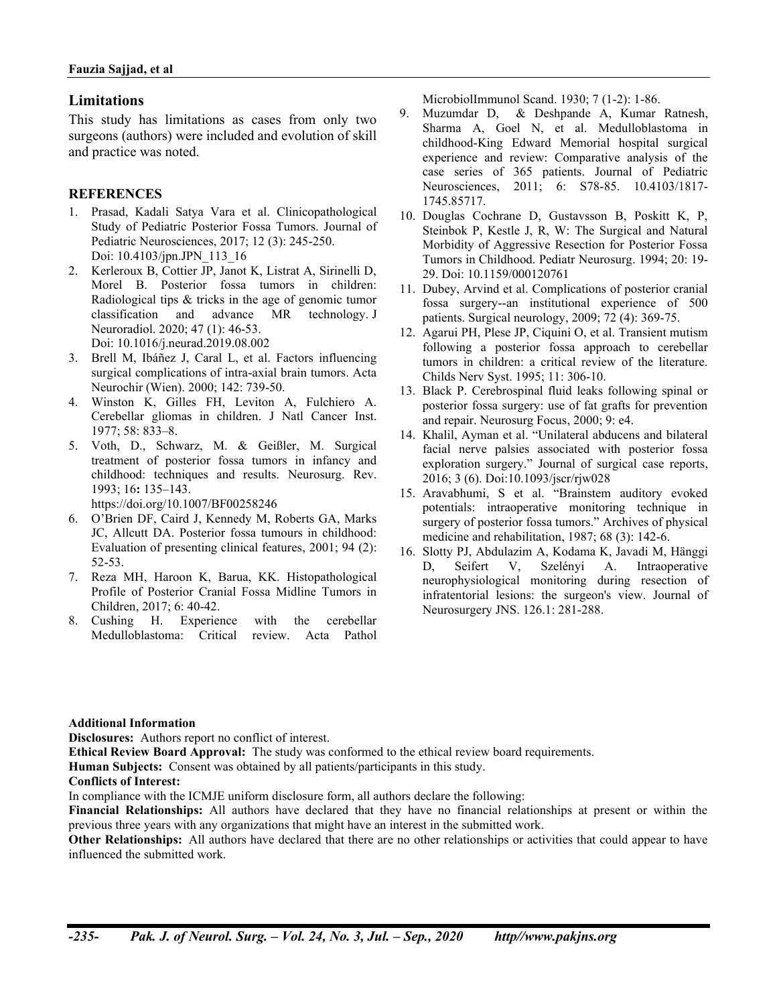#### **Limitations**

This study has limitations as cases from only two surgeons (authors) were included and evolution of skill and practice was noted.

#### **REFERENCES**

- 1. Prasad, Kadali Satya Vara et al. Clinicopathological Study of Pediatric Posterior Fossa Tumors. Journal of Pediatric Neurosciences, 2017; 12 (3): 245-250. Doi: 10.4103/jpn.JPN\_113\_16
- 2. Kerleroux B, Cottier JP, Janot K, Listrat A, Sirinelli D, Morel B. Posterior fossa tumors in children: Radiological tips & tricks in the age of genomic tumor classification and advance MR technology. J Neuroradiol. 2020; 47 (1): 46-53. Doi: 10.1016/j.neurad.2019.08.002
- 3. Brell M, Ibáñez J, Caral L, et al. Factors influencing surgical complications of intra-axial brain tumors. Acta Neurochir (Wien). 2000; 142: 739-50.
- 4. Winston K, Gilles FH, Leviton A, Fulchiero A. Cerebellar gliomas in children. J Natl Cancer Inst. 1977; 58: 833–8.
- 5. Voth, D., Schwarz, M. & Geißler, M. Surgical treatment of posterior fossa tumors in infancy and childhood: techniques and results. Neurosurg. Rev. 1993; 16**:** 135–143.

https://doi.org/10.1007/BF00258246

- 6. O'Brien DF, Caird J, Kennedy M, Roberts GA, Marks JC, Allcutt DA. Posterior fossa tumours in childhood: Evaluation of presenting clinical features, 2001; 94 (2): 52-53.
- 7. Reza MH, Haroon K, Barua, KK. Histopathological Profile of Posterior Cranial Fossa Midline Tumors in Children, 2017; 6: 40-42.
- 8. Cushing H. Experience with the cerebellar Medulloblastoma: Critical review. Acta Pathol

MicrobiolImmunol Scand. 1930; 7 (1-2): 1-86.

- 9. Muzumdar D, & Deshpande A, Kumar Ratnesh, Sharma A, Goel N, et al. Medulloblastoma in childhood-King Edward Memorial hospital surgical experience and review: Comparative analysis of the case series of 365 patients. Journal of Pediatric Neurosciences, 2011; 6: S78-85. 10.4103/1817- 1745.85717.
- 10. Douglas Cochrane D, Gustavsson B, Poskitt K, P, Steinbok P, Kestle J, R, W: The Surgical and Natural Morbidity of Aggressive Resection for Posterior Fossa Tumors in Childhood. Pediatr Neurosurg. 1994; 20: 19- 29. Doi: 10.1159/000120761
- 11. Dubey, Arvind et al. Complications of posterior cranial fossa surgery--an institutional experience of 500 patients. Surgical neurology, 2009; 72 (4): 369-75.
- 12. Agarui PH, Plese JP, Ciquini O, et al. Transient mutism following a posterior fossa approach to cerebellar tumors in children: a critical review of the literature. Childs Nerv Syst. 1995; 11: 306-10.
- 13. Black P. Cerebrospinal fluid leaks following spinal or posterior fossa surgery: use of fat grafts for prevention and repair. Neurosurg Focus, 2000; 9: e4.
- 14. Khalil, Ayman et al. "Unilateral abducens and bilateral facial nerve palsies associated with posterior fossa exploration surgery." Journal of surgical case reports, 2016; 3 (6). Doi:10.1093/jscr/rjw028
- 15. Aravabhumi, S et al. "Brainstem auditory evoked potentials: intraoperative monitoring technique in surgery of posterior fossa tumors." Archives of physical medicine and rehabilitation, 1987; 68 (3): 142-6.
- 16. Slotty PJ, Abdulazim A, Kodama K, Javadi M, Hänggi D, Seifert V, Szelényi A. Intraoperative neurophysiological monitoring during resection of infratentorial lesions: the surgeon's view. Journal of Neurosurgery JNS. 126.1: 281-288.

#### **Additional Information**

**Disclosures:** Authors report no conflict of interest.

**Ethical Review Board Approval:** The study was conformed to the ethical review board requirements.

**Human Subjects:** Consent was obtained by all patients/participants in this study.

#### **Conflicts of Interest:**

In compliance with the ICMJE uniform disclosure form, all authors declare the following:

**Financial Relationships:** All authors have declared that they have no financial relationships at present or within the previous three years with any organizations that might have an interest in the submitted work.

**Other Relationships:** All authors have declared that there are no other relationships or activities that could appear to have influenced the submitted work.